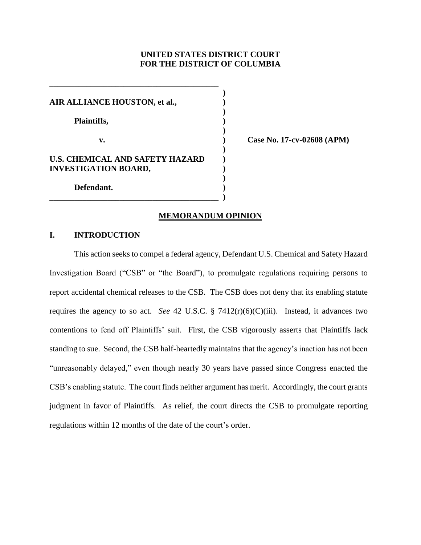## **UNITED STATES DISTRICT COURT FOR THE DISTRICT OF COLUMBIA**

**)**

**)**

**)**

**)**

**)**

**AIR ALLIANCE HOUSTON, et al., ) Plaintiffs, ) v. ) Case No. 17-cv-02608 (APM) U.S. CHEMICAL AND SAFETY HAZARD ) INVESTIGATION BOARD, ) Defendant. )**

**\_\_\_\_\_\_\_\_\_\_\_\_\_\_\_\_\_\_\_\_\_\_\_\_\_\_\_\_\_\_\_\_\_\_\_\_\_\_\_\_\_** 

# **\_\_\_\_\_\_\_\_\_\_\_\_\_\_\_\_\_\_\_\_\_\_\_\_\_\_\_\_\_\_\_\_\_\_\_\_\_\_\_\_\_ )**

## **MEMORANDUM OPINION**

## **I. INTRODUCTION**

This action seeks to compel a federal agency, Defendant U.S. Chemical and Safety Hazard Investigation Board ("CSB" or "the Board"), to promulgate regulations requiring persons to report accidental chemical releases to the CSB. The CSB does not deny that its enabling statute requires the agency to so act. *See* 42 U.S.C. § 7412(r)(6)(C)(iii). Instead, it advances two contentions to fend off Plaintiffs' suit. First, the CSB vigorously asserts that Plaintiffs lack standing to sue. Second, the CSB half-heartedly maintains that the agency's inaction has not been "unreasonably delayed," even though nearly 30 years have passed since Congress enacted the CSB's enabling statute. The court finds neither argument has merit. Accordingly, the court grants judgment in favor of Plaintiffs. As relief, the court directs the CSB to promulgate reporting regulations within 12 months of the date of the court's order.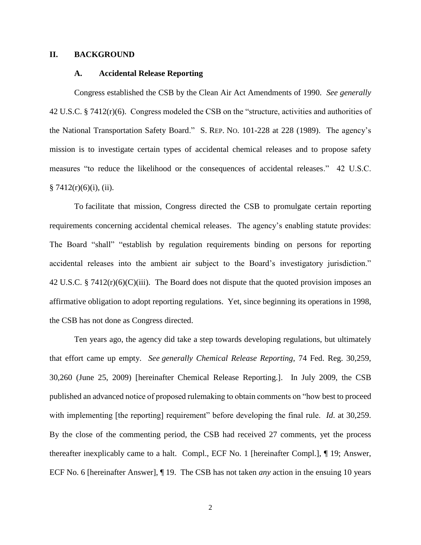#### **II. BACKGROUND**

## **A. Accidental Release Reporting**

Congress established the CSB by the Clean Air Act Amendments of 1990. *See generally*  42 U.S.C. § 7412(r)(6).Congress modeled the CSB on the "structure, activities and authorities of the National Transportation Safety Board." S. REP. NO. 101-228 at 228 (1989). The agency's mission is to investigate certain types of accidental chemical releases and to propose safety measures "to reduce the likelihood or the consequences of accidental releases." 42 U.S.C.  $§ 7412(r)(6)(i)$ , (ii).

To facilitate that mission, Congress directed the CSB to promulgate certain reporting requirements concerning accidental chemical releases. The agency's enabling statute provides: The Board "shall" "establish by regulation requirements binding on persons for reporting accidental releases into the ambient air subject to the Board's investigatory jurisdiction." 42 U.S.C. § 7412 $(r)(6)(C)(iii)$ . The Board does not dispute that the quoted provision imposes an affirmative obligation to adopt reporting regulations. Yet, since beginning its operations in 1998, the CSB has not done as Congress directed.

Ten years ago, the agency did take a step towards developing regulations, but ultimately that effort came up empty. *See generally Chemical Release Reporting*, 74 Fed. Reg. 30,259, 30,260 (June 25, 2009) [hereinafter Chemical Release Reporting.]. In July 2009, the CSB published an advanced notice of proposed rulemaking to obtain comments on "how best to proceed with implementing [the reporting] requirement" before developing the final rule. *Id*. at 30,259. By the close of the commenting period, the CSB had received 27 comments, yet the process thereafter inexplicably came to a halt. Compl., ECF No. 1 [hereinafter Compl.], ¶ 19; Answer, ECF No. 6 [hereinafter Answer], ¶ 19. The CSB has not taken *any* action in the ensuing 10 years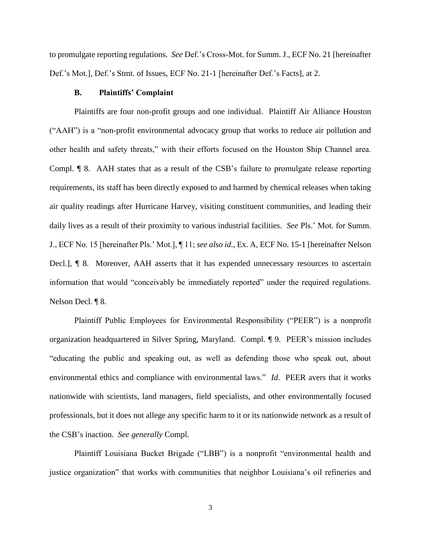to promulgate reporting regulations. *See* Def.'s Cross-Mot. for Summ. J., ECF No. 21 [hereinafter Def.'s Mot.], Def.'s Stmt. of Issues, ECF No. 21-1 [hereinafter Def.'s Facts], at 2.

#### **B. Plaintiffs' Complaint**

Plaintiffs are four non-profit groups and one individual. Plaintiff Air Alliance Houston ("AAH") is a "non-profit environmental advocacy group that works to reduce air pollution and other health and safety threats," with their efforts focused on the Houston Ship Channel area. Compl. ¶ 8. AAH states that as a result of the CSB's failure to promulgate release reporting requirements, its staff has been directly exposed to and harmed by chemical releases when taking air quality readings after Hurricane Harvey, visiting constituent communities, and leading their daily lives as a result of their proximity to various industrial facilities. *See* Pls.' Mot. for Summ. J., ECF No. 15 [hereinafter Pls.' Mot.], ¶ 11; *see also id*., Ex. A, ECF No. 15-1 [hereinafter Nelson Decl.], ¶ 8. Moreover, AAH asserts that it has expended unnecessary resources to ascertain information that would "conceivably be immediately reported" under the required regulations. Nelson Decl. ¶ 8.

Plaintiff Public Employees for Environmental Responsibility ("PEER") is a nonprofit organization headquartered in Silver Spring, Maryland. Compl. ¶ 9. PEER's mission includes "educating the public and speaking out, as well as defending those who speak out, about environmental ethics and compliance with environmental laws." *Id*. PEER avers that it works nationwide with scientists, land managers, field specialists, and other environmentally focused professionals, but it does not allege any specific harm to it or its nationwide network as a result of the CSB's inaction. *See generally* Compl.

Plaintiff Louisiana Bucket Brigade ("LBB") is a nonprofit "environmental health and justice organization" that works with communities that neighbor Louisiana's oil refineries and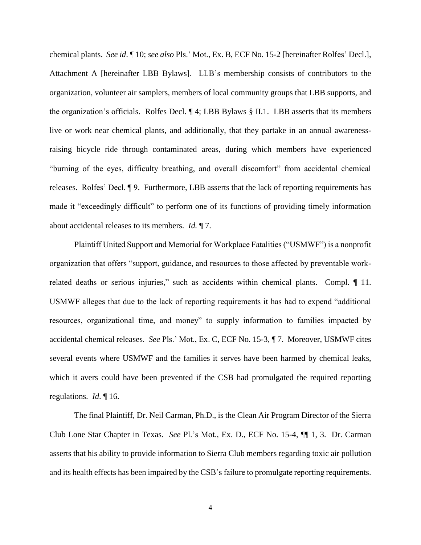chemical plants. *See id*. ¶ 10; *see also* Pls.' Mot., Ex. B, ECF No. 15-2 [hereinafter Rolfes' Decl.], Attachment A [hereinafter LBB Bylaws]. LLB's membership consists of contributors to the organization, volunteer air samplers, members of local community groups that LBB supports, and the organization's officials. Rolfes Decl. ¶ 4; LBB Bylaws § II.1. LBB asserts that its members live or work near chemical plants, and additionally, that they partake in an annual awarenessraising bicycle ride through contaminated areas, during which members have experienced "burning of the eyes, difficulty breathing, and overall discomfort" from accidental chemical releases. Rolfes' Decl. ¶ 9. Furthermore, LBB asserts that the lack of reporting requirements has made it "exceedingly difficult" to perform one of its functions of providing timely information about accidental releases to its members. *Id.* ¶ 7.

Plaintiff United Support and Memorial for Workplace Fatalities ("USMWF") is a nonprofit organization that offers "support, guidance, and resources to those affected by preventable workrelated deaths or serious injuries," such as accidents within chemical plants. Compl. 11. USMWF alleges that due to the lack of reporting requirements it has had to expend "additional resources, organizational time, and money" to supply information to families impacted by accidental chemical releases. *See* Pls.' Mot., Ex. C, ECF No. 15-3, ¶ 7. Moreover, USMWF cites several events where USMWF and the families it serves have been harmed by chemical leaks, which it avers could have been prevented if the CSB had promulgated the required reporting regulations. *Id*. ¶ 16.

The final Plaintiff, Dr. Neil Carman, Ph.D., is the Clean Air Program Director of the Sierra Club Lone Star Chapter in Texas. *See* Pl.'s Mot., Ex. D., ECF No. 15-4, ¶¶ 1, 3. Dr. Carman asserts that his ability to provide information to Sierra Club members regarding toxic air pollution and its health effects has been impaired by the CSB's failure to promulgate reporting requirements.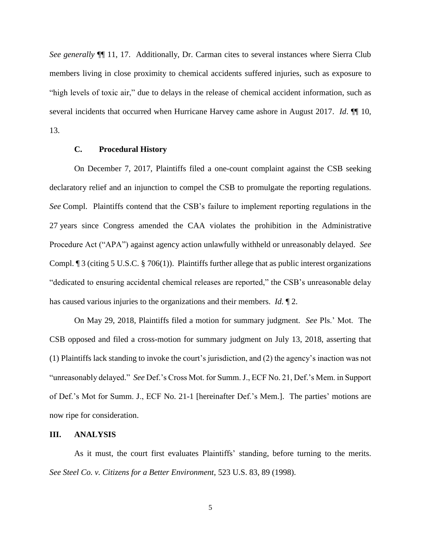*See generally* ¶¶ 11, 17. Additionally, Dr. Carman cites to several instances where Sierra Club members living in close proximity to chemical accidents suffered injuries, such as exposure to "high levels of toxic air," due to delays in the release of chemical accident information, such as several incidents that occurred when Hurricane Harvey came ashore in August 2017. *Id*. ¶¶ 10, 13.

#### **C. Procedural History**

On December 7, 2017, Plaintiffs filed a one-count complaint against the CSB seeking declaratory relief and an injunction to compel the CSB to promulgate the reporting regulations. *See* Compl. Plaintiffs contend that the CSB's failure to implement reporting regulations in the 27 years since Congress amended the CAA violates the prohibition in the Administrative Procedure Act ("APA") against agency action unlawfully withheld or unreasonably delayed. *See*  Compl. ¶ 3 (citing 5 U.S.C. § 706(1)). Plaintiffs further allege that as public interest organizations "dedicated to ensuring accidental chemical releases are reported," the CSB's unreasonable delay has caused various injuries to the organizations and their members. *Id.* ¶ 2.

On May 29, 2018, Plaintiffs filed a motion for summary judgment. *See* Pls.' Mot. The CSB opposed and filed a cross-motion for summary judgment on July 13, 2018, asserting that (1) Plaintiffs lack standing to invoke the court's jurisdiction, and (2) the agency's inaction was not "unreasonably delayed." *See* Def.'s Cross Mot. for Summ. J., ECF No. 21, Def.'s Mem. in Support of Def.'s Mot for Summ. J., ECF No. 21-1 [hereinafter Def.'s Mem.]. The parties' motions are now ripe for consideration.

#### **III. ANALYSIS**

As it must, the court first evaluates Plaintiffs' standing, before turning to the merits. *See Steel Co. v. Citizens for a Better Environment*, 523 U.S. 83, 89 (1998).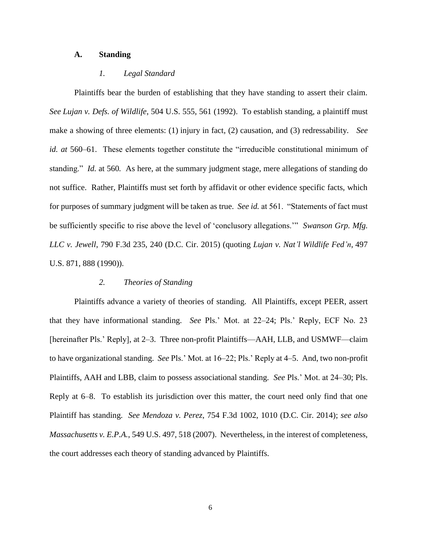## **A. Standing**

## *1. Legal Standard*

Plaintiffs bear the burden of establishing that they have standing to assert their claim. *See Lujan v. Defs. of Wildlife*, 504 U.S. 555, 561 (1992). To establish standing, a plaintiff must make a showing of three elements: (1) injury in fact, (2) causation, and (3) redressability. *See id. at* 560–61. These elements together constitute the "irreducible constitutional minimum of standing." *Id.* at 560*.* As here, at the summary judgment stage, mere allegations of standing do not suffice. Rather, Plaintiffs must set forth by affidavit or other evidence specific facts, which for purposes of summary judgment will be taken as true. *See id.* at 561. "Statements of fact must be sufficiently specific to rise above the level of 'conclusory allegations.'" *Swanson Grp. Mfg. LLC v. Jewell*, 790 F.3d 235, 240 (D.C. Cir. 2015) (quoting *Lujan v. Nat'l Wildlife Fed'n*, 497 U.S. 871, 888 (1990)).

## *2. Theories of Standing*

Plaintiffs advance a variety of theories of standing. All Plaintiffs, except PEER, assert that they have informational standing. *See* Pls.' Mot. at 22–24; Pls.' Reply, ECF No. 23 [hereinafter Pls.' Reply], at 2–3. Three non-profit Plaintiffs—AAH, LLB, and USMWF—claim to have organizational standing. *See* Pls.' Mot. at 16–22; Pls.' Reply at 4–5. And, two non-profit Plaintiffs, AAH and LBB, claim to possess associational standing. *See* Pls.' Mot. at 24–30; Pls. Reply at 6–8. To establish its jurisdiction over this matter, the court need only find that one Plaintiff has standing. *See Mendoza v. Perez*, 754 F.3d 1002, 1010 (D.C. Cir. 2014); *see also Massachusetts v. E.P.A.*, 549 U.S. 497, 518 (2007). Nevertheless, in the interest of completeness, the court addresses each theory of standing advanced by Plaintiffs.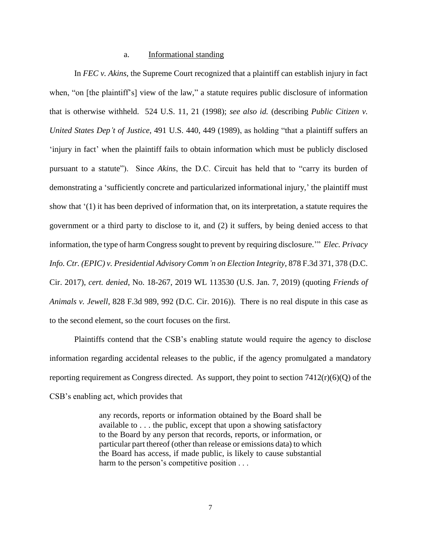#### a. Informational standing

In *FEC v. Akins*, the Supreme Court recognized that a plaintiff can establish injury in fact when, "on [the plaintiff's] view of the law," a statute requires public disclosure of information that is otherwise withheld. 524 U.S. 11, 21 (1998); *see also id.* (describing *Public Citizen v. United States Dep't of Justice*, 491 U.S. 440, 449 (1989), as holding "that a plaintiff suffers an 'injury in fact' when the plaintiff fails to obtain information which must be publicly disclosed pursuant to a statute"). Since *Akins*, the D.C. Circuit has held that to "carry its burden of demonstrating a 'sufficiently concrete and particularized informational injury,' the plaintiff must show that '(1) it has been deprived of information that, on its interpretation, a statute requires the government or a third party to disclose to it, and (2) it suffers, by being denied access to that information, the type of harm Congress sought to prevent by requiring disclosure.'" *Elec. Privacy Info. Ctr. (EPIC) v. Presidential Advisory Comm'n on Election Integrity*, 878 F.3d 371, 378 (D.C. Cir. 2017), *cert. denied*, No. 18-267, 2019 WL 113530 (U.S. Jan. 7, 2019) (quoting *Friends of Animals v. Jewell*, 828 F.3d 989, 992 (D.C. Cir. 2016)). There is no real dispute in this case as to the second element, so the court focuses on the first.

Plaintiffs contend that the CSB's enabling statute would require the agency to disclose information regarding accidental releases to the public, if the agency promulgated a mandatory reporting requirement as Congress directed. As support, they point to section  $7412(r)(6)(Q)$  of the CSB's enabling act, which provides that

> any records, reports or information obtained by the Board shall be available to . . . the public, except that upon a showing satisfactory to the Board by any person that records, reports, or information, or particular part thereof (other than release or emissions data) to which the Board has access, if made public, is likely to cause substantial harm to the person's competitive position . . .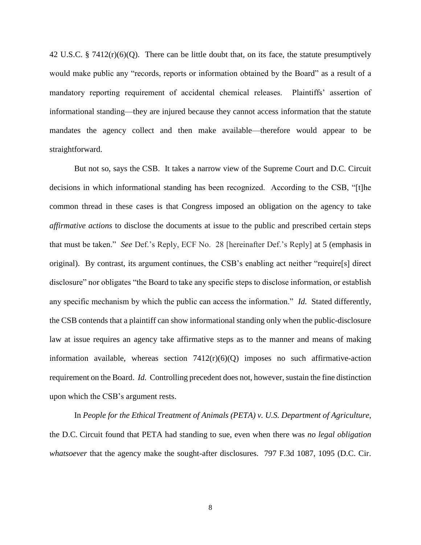42 U.S.C. § 7412(r)(6)(Q). There can be little doubt that, on its face, the statute presumptively would make public any "records, reports or information obtained by the Board" as a result of a mandatory reporting requirement of accidental chemical releases. Plaintiffs' assertion of informational standing—they are injured because they cannot access information that the statute mandates the agency collect and then make available—therefore would appear to be straightforward.

But not so, says the CSB. It takes a narrow view of the Supreme Court and D.C. Circuit decisions in which informational standing has been recognized. According to the CSB, "[t]he common thread in these cases is that Congress imposed an obligation on the agency to take *affirmative actions* to disclose the documents at issue to the public and prescribed certain steps that must be taken." *See* Def.'s Reply, ECF No. 28 [hereinafter Def.'s Reply] at 5 (emphasis in original). By contrast, its argument continues, the CSB's enabling act neither "require[s] direct disclosure" nor obligates "the Board to take any specific steps to disclose information, or establish any specific mechanism by which the public can access the information." *Id.* Stated differently, the CSB contends that a plaintiff can show informational standing only when the public-disclosure law at issue requires an agency take affirmative steps as to the manner and means of making information available, whereas section  $7412(r)(6)(Q)$  imposes no such affirmative-action requirement on the Board. *Id.* Controlling precedent does not, however, sustain the fine distinction upon which the CSB's argument rests.

In *People for the Ethical Treatment of Animals (PETA) v. U.S. Department of Agriculture*, the D.C. Circuit found that PETA had standing to sue, even when there was *no legal obligation whatsoever* that the agency make the sought-after disclosures. 797 F.3d 1087, 1095 (D.C. Cir.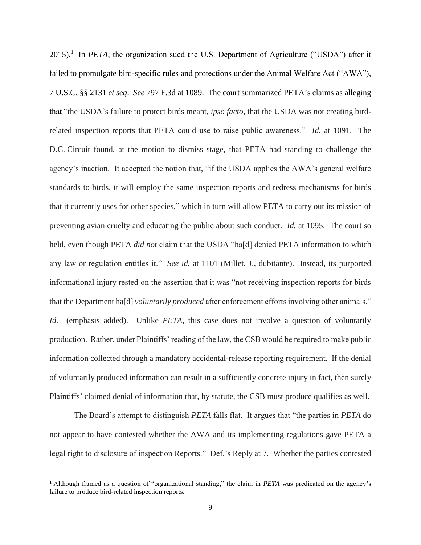$2015$ ).<sup>1</sup> In *PETA*, the organization sued the U.S. Department of Agriculture ("USDA") after it failed to promulgate bird-specific rules and protections under the Animal Welfare Act ("AWA"), 7 U.S.C. §§ 2131 *et seq*. *See* 797 F.3d at 1089. The court summarized PETA's claims as alleging that "the USDA's failure to protect birds meant, *ipso facto,* that the USDA was not creating birdrelated inspection reports that PETA could use to raise public awareness." *Id.* at 1091. The D.C. Circuit found, at the motion to dismiss stage, that PETA had standing to challenge the agency's inaction. It accepted the notion that, "if the USDA applies the AWA's general welfare standards to birds, it will employ the same inspection reports and redress mechanisms for birds that it currently uses for other species," which in turn will allow PETA to carry out its mission of preventing avian cruelty and educating the public about such conduct. *Id.* at 1095. The court so held, even though PETA *did not* claim that the USDA "ha[d] denied PETA information to which any law or regulation entitles it." *See id.* at 1101 (Millet, J., dubitante). Instead, its purported informational injury rested on the assertion that it was "not receiving inspection reports for birds that the Department ha[d] *voluntarily produced* after enforcement efforts involving other animals." *Id.* (emphasis added). Unlike *PETA*, this case does not involve a question of voluntarily production. Rather, under Plaintiffs' reading of the law, the CSB would be required to make public information collected through a mandatory accidental-release reporting requirement. If the denial of voluntarily produced information can result in a sufficiently concrete injury in fact, then surely Plaintiffs' claimed denial of information that, by statute, the CSB must produce qualifies as well.

The Board's attempt to distinguish *PETA* falls flat. It argues that "the parties in *PETA* do not appear to have contested whether the AWA and its implementing regulations gave PETA a legal right to disclosure of inspection Reports." Def.'s Reply at 7. Whether the parties contested

 $\overline{a}$ 

<sup>1</sup> Although framed as a question of "organizational standing," the claim in *PETA* was predicated on the agency's failure to produce bird-related inspection reports.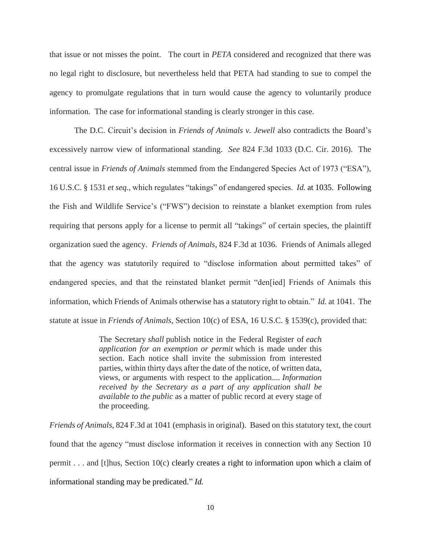that issue or not misses the point. The court in *PETA* considered and recognized that there was no legal right to disclosure, but nevertheless held that PETA had standing to sue to compel the agency to promulgate regulations that in turn would cause the agency to voluntarily produce information. The case for informational standing is clearly stronger in this case.

The D.C. Circuit's decision in *Friends of Animals v. Jewell* also contradicts the Board's excessively narrow view of informational standing. *See* 824 F.3d 1033 (D.C. Cir. 2016). The central issue in *Friends of Animals* stemmed from the Endangered Species Act of 1973 ("ESA"), 16 U.S.C. § 1531 *et seq.*, which regulates "takings" of endangered species. *Id.* at 1035. Following the Fish and Wildlife Service's ("FWS") decision to reinstate a blanket exemption from rules requiring that persons apply for a license to permit all "takings" of certain species, the plaintiff organization sued the agency. *Friends of Animals*, 824 F.3d at 1036. Friends of Animals alleged that the agency was statutorily required to "disclose information about permitted takes" of endangered species, and that the reinstated blanket permit "den[ied] Friends of Animals this information, which Friends of Animals otherwise has a statutory right to obtain." *Id.* at 1041. The statute at issue in *Friends of Animals*, Section 10(c) of ESA, 16 U.S.C. § 1539(c), provided that:

> The Secretary *shall* publish notice in the Federal Register of *each application for an exemption or permit* which is made under this section. Each notice shall invite the submission from interested parties, within thirty days after the date of the notice, of written data, views, or arguments with respect to the application.... *Information received by the Secretary as a part of any application shall be available to the public* as a matter of public record at every stage of the proceeding.

*Friends of Animals*, 824 F.3d at 1041 (emphasis in original). Based on this statutory text, the court found that the agency "must disclose information it receives in connection with any Section 10 permit . . . and [t]hus, Section 10(c) clearly creates a right to information upon which a claim of informational standing may be predicated." *Id.*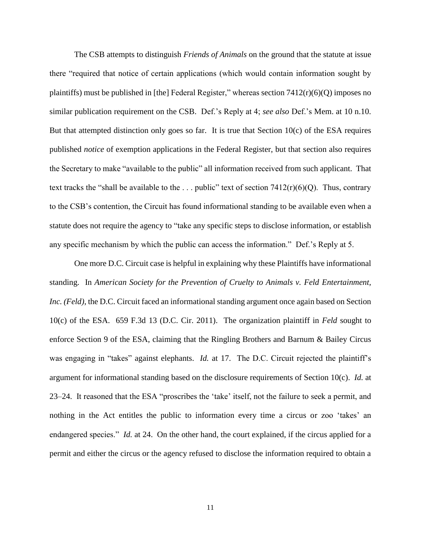The CSB attempts to distinguish *Friends of Animals* on the ground that the statute at issue there "required that notice of certain applications (which would contain information sought by plaintiffs) must be published in [the] Federal Register," whereas section  $7412(r)(6)(Q)$  imposes no similar publication requirement on the CSB. Def.'s Reply at 4; *see also* Def.'s Mem. at 10 n.10. But that attempted distinction only goes so far. It is true that Section  $10(c)$  of the ESA requires published *notice* of exemption applications in the Federal Register, but that section also requires the Secretary to make "available to the public" all information received from such applicant. That text tracks the "shall be available to the ... public" text of section  $7412(r)(6)(Q)$ . Thus, contrary to the CSB's contention, the Circuit has found informational standing to be available even when a statute does not require the agency to "take any specific steps to disclose information, or establish any specific mechanism by which the public can access the information." Def.'s Reply at 5.

One more D.C. Circuit case is helpful in explaining why these Plaintiffs have informational standing. In *American Society for the Prevention of Cruelty to Animals v. Feld Entertainment, Inc. (Feld)*, the D.C. Circuit faced an informational standing argument once again based on Section 10(c) of the ESA. 659 F.3d 13 (D.C. Cir. 2011). The organization plaintiff in *Feld* sought to enforce Section 9 of the ESA, claiming that the Ringling Brothers and Barnum & Bailey Circus was engaging in "takes" against elephants. *Id.* at 17. The D.C. Circuit rejected the plaintiff's argument for informational standing based on the disclosure requirements of Section 10(c). *Id.* at 23–24. It reasoned that the ESA "proscribes the 'take' itself, not the failure to seek a permit, and nothing in the Act entitles the public to information every time a circus or zoo 'takes' an endangered species." *Id.* at 24. On the other hand, the court explained, if the circus applied for a permit and either the circus or the agency refused to disclose the information required to obtain a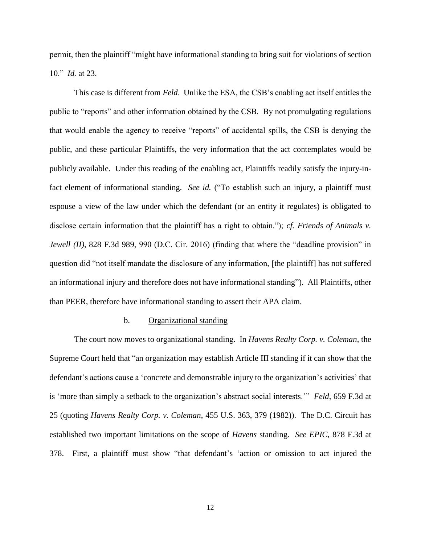permit, then the plaintiff "might have informational standing to bring suit for violations of section 10." *Id.* at 23.

This case is different from *Feld*.Unlike the ESA, the CSB's enabling act itself entitles the public to "reports" and other information obtained by the CSB. By not promulgating regulations that would enable the agency to receive "reports" of accidental spills, the CSB is denying the public, and these particular Plaintiffs, the very information that the act contemplates would be publicly available. Under this reading of the enabling act, Plaintiffs readily satisfy the injury-infact element of informational standing. *See id.* ("To establish such an injury, a plaintiff must espouse a view of the law under which the defendant (or an entity it regulates) is obligated to disclose certain information that the plaintiff has a right to obtain."); *cf. Friends of Animals v. Jewell* (*II*), 828 F.3d 989, 990 (D.C. Cir. 2016) (finding that where the "deadline provision" in question did "not itself mandate the disclosure of any information, [the plaintiff] has not suffered an informational injury and therefore does not have informational standing"). All Plaintiffs, other than PEER, therefore have informational standing to assert their APA claim.

## b. Organizational standing

The court now moves to organizational standing. In *Havens Realty Corp. v. Coleman*, the Supreme Court held that "an organization may establish Article III standing if it can show that the defendant's actions cause a 'concrete and demonstrable injury to the organization's activities' that is 'more than simply a setback to the organization's abstract social interests.'" *Feld*, 659 F.3d at 25 (quoting *Havens Realty Corp. v. Coleman*, 455 U.S. 363, 379 (1982)). The D.C. Circuit has established two important limitations on the scope of *Havens* standing. *See EPIC*, 878 F.3d at 378. First, a plaintiff must show "that defendant's 'action or omission to act injured the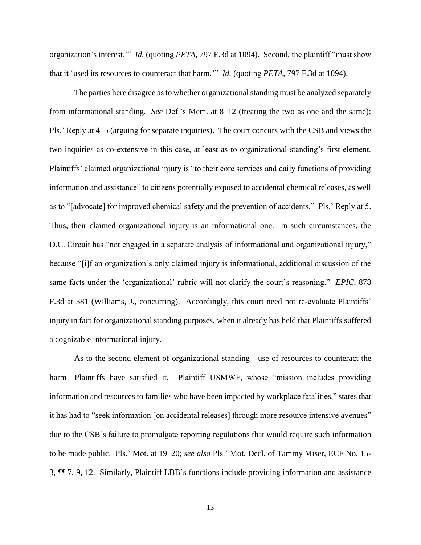organization's interest.'" *Id.* (quoting *PETA*, 797 F.3d at 1094). Second, the plaintiff "must show that it 'used its resources to counteract that harm.'" *Id.* (quoting *PETA*, 797 F.3d at 1094).

The parties here disagree as to whether organizational standing must be analyzed separately from informational standing. *See* Def.'s Mem. at 8–12 (treating the two as one and the same); Pls.' Reply at 4–5 (arguing for separate inquiries). The court concurs with the CSB and views the two inquiries as co-extensive in this case, at least as to organizational standing's first element. Plaintiffs' claimed organizational injury is "to their core services and daily functions of providing information and assistance" to citizens potentially exposed to accidental chemical releases, as well as to "[advocate] for improved chemical safety and the prevention of accidents." Pls.' Reply at 5. Thus, their claimed organizational injury is an informational one. In such circumstances, the D.C. Circuit has "not engaged in a separate analysis of informational and organizational injury," because "[i]f an organization's only claimed injury is informational, additional discussion of the same facts under the 'organizational' rubric will not clarify the court's reasoning." *EPIC*, 878 F.3d at 381 (Williams, J., concurring). Accordingly, this court need not re-evaluate Plaintiffs' injury in fact for organizational standing purposes, when it already has held that Plaintiffs suffered a cognizable informational injury.

As to the second element of organizational standing—use of resources to counteract the harm—Plaintiffs have satisfied it. Plaintiff USMWF, whose "mission includes providing information and resources to families who have been impacted by workplace fatalities," states that it has had to "seek information [on accidental releases] through more resource intensive avenues" due to the CSB's failure to promulgate reporting regulations that would require such information to be made public. Pls.' Mot. at 19–20; *see also* Pls.' Mot, Decl. of Tammy Miser, ECF No. 15- 3, ¶¶ 7, 9, 12. Similarly, Plaintiff LBB's functions include providing information and assistance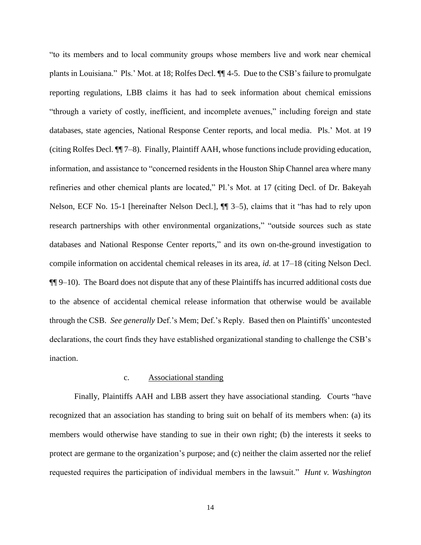"to its members and to local community groups whose members live and work near chemical plants in Louisiana." Pls.' Mot. at 18; Rolfes Decl. ¶¶ 4-5. Due to the CSB's failure to promulgate reporting regulations, LBB claims it has had to seek information about chemical emissions "through a variety of costly, inefficient, and incomplete avenues," including foreign and state databases, state agencies, National Response Center reports, and local media. Pls.' Mot. at 19 (citing Rolfes Decl. ¶¶ 7–8). Finally, Plaintiff AAH, whose functions include providing education, information, and assistance to "concerned residents in the Houston Ship Channel area where many refineries and other chemical plants are located," Pl.'s Mot. at 17 (citing Decl. of Dr. Bakeyah Nelson, ECF No. 15-1 [hereinafter Nelson Decl.], ¶¶ 3–5), claims that it "has had to rely upon research partnerships with other environmental organizations," "outside sources such as state databases and National Response Center reports," and its own on-the-ground investigation to compile information on accidental chemical releases in its area, *id.* at 17–18 (citing Nelson Decl. ¶¶ 9–10). The Board does not dispute that any of these Plaintiffs has incurred additional costs due to the absence of accidental chemical release information that otherwise would be available through the CSB. *See generally* Def.'s Mem; Def.'s Reply. Based then on Plaintiffs' uncontested declarations, the court finds they have established organizational standing to challenge the CSB's inaction.

#### c. Associational standing

Finally, Plaintiffs AAH and LBB assert they have associational standing. Courts "have recognized that an association has standing to bring suit on behalf of its members when: (a) its members would otherwise have standing to sue in their own right; (b) the interests it seeks to protect are germane to the organization's purpose; and (c) neither the claim asserted nor the relief requested requires the participation of individual members in the lawsuit." *Hunt v. Washington*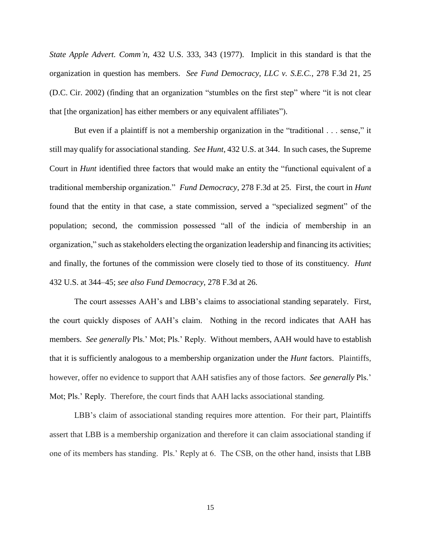*State Apple Advert. Comm'n*, 432 U.S. 333, 343 (1977). Implicit in this standard is that the organization in question has members. *See Fund Democracy, LLC v. S.E.C.*, 278 F.3d 21, 25 (D.C. Cir. 2002) (finding that an organization "stumbles on the first step" where "it is not clear that [the organization] has either members or any equivalent affiliates").

But even if a plaintiff is not a membership organization in the "traditional . . . sense," it still may qualify for associational standing. *See Hunt*, 432 U.S. at 344. In such cases, the Supreme Court in *Hunt* identified three factors that would make an entity the "functional equivalent of a traditional membership organization." *Fund Democracy*, 278 F.3d at 25. First, the court in *Hunt* found that the entity in that case, a state commission, served a "specialized segment" of the population; second, the commission possessed "all of the indicia of membership in an organization," such as stakeholders electing the organization leadership and financing its activities; and finally, the fortunes of the commission were closely tied to those of its constituency*. Hunt*  432 U.S. at 344–45; *see also Fund Democracy*, 278 F.3d at 26.

The court assesses AAH's and LBB's claims to associational standing separately. First, the court quickly disposes of AAH's claim. Nothing in the record indicates that AAH has members. *See generally* Pls.' Mot; Pls.' Reply. Without members, AAH would have to establish that it is sufficiently analogous to a membership organization under the *Hunt* factors. Plaintiffs, however, offer no evidence to support that AAH satisfies any of those factors. *See generally* Pls.' Mot; Pls.' Reply. Therefore, the court finds that AAH lacks associational standing.

LBB's claim of associational standing requires more attention. For their part, Plaintiffs assert that LBB is a membership organization and therefore it can claim associational standing if one of its members has standing. Pls.' Reply at 6. The CSB, on the other hand, insists that LBB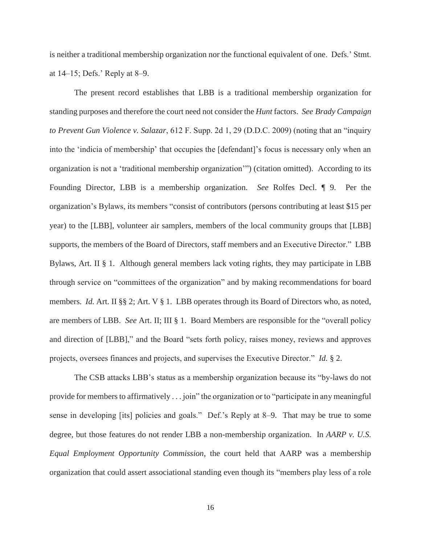is neither a traditional membership organization nor the functional equivalent of one. Defs.' Stmt. at 14–15; Defs.' Reply at 8–9.

The present record establishes that LBB is a traditional membership organization for standing purposes and therefore the court need not consider the *Hunt* factors. *See Brady Campaign to Prevent Gun Violence v. Salazar*, 612 F. Supp. 2d 1, 29 (D.D.C. 2009) (noting that an "inquiry into the 'indicia of membership' that occupies the [defendant]'s focus is necessary only when an organization is not a 'traditional membership organization'") (citation omitted). According to its Founding Director, LBB is a membership organization. *See* Rolfes Decl. ¶ 9. Per the organization's Bylaws, its members "consist of contributors (persons contributing at least \$15 per year) to the [LBB], volunteer air samplers, members of the local community groups that [LBB] supports, the members of the Board of Directors, staff members and an Executive Director." LBB Bylaws, Art. II § 1. Although general members lack voting rights, they may participate in LBB through service on "committees of the organization" and by making recommendations for board members. *Id.* Art. II §§ 2; Art. V § 1. LBB operates through its Board of Directors who, as noted, are members of LBB. *See* Art. II; III § 1. Board Members are responsible for the "overall policy and direction of [LBB]," and the Board "sets forth policy, raises money, reviews and approves projects, oversees finances and projects, and supervises the Executive Director." *Id.* § 2.

The CSB attacks LBB's status as a membership organization because its "by-laws do not provide for members to affirmatively . . . join" the organization or to "participate in any meaningful sense in developing [its] policies and goals." Def.'s Reply at 8–9. That may be true to some degree, but those features do not render LBB a non-membership organization. In *AARP v. U.S. Equal Employment Opportunity Commission*, the court held that AARP was a membership organization that could assert associational standing even though its "members play less of a role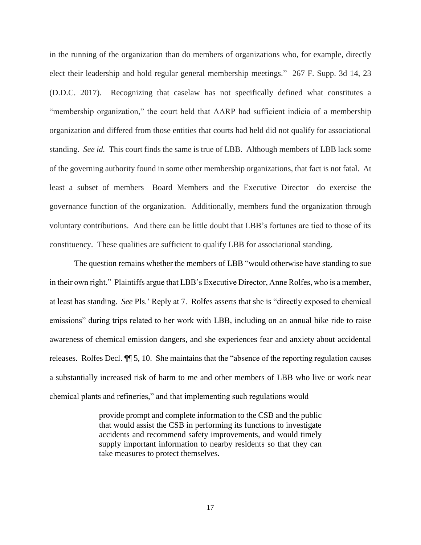in the running of the organization than do members of organizations who, for example, directly elect their leadership and hold regular general membership meetings." 267 F. Supp. 3d 14, 23 (D.D.C. 2017). Recognizing that caselaw has not specifically defined what constitutes a "membership organization," the court held that AARP had sufficient indicia of a membership organization and differed from those entities that courts had held did not qualify for associational standing. *See id.* This court finds the same is true of LBB. Although members of LBB lack some of the governing authority found in some other membership organizations, that fact is not fatal. At least a subset of members—Board Members and the Executive Director—do exercise the governance function of the organization. Additionally, members fund the organization through voluntary contributions. And there can be little doubt that LBB's fortunes are tied to those of its constituency. These qualities are sufficient to qualify LBB for associational standing.

The question remains whether the members of LBB "would otherwise have standing to sue in their own right." Plaintiffs argue that LBB's Executive Director, Anne Rolfes, who is a member, at least has standing. *See* Pls.' Reply at 7. Rolfes asserts that she is "directly exposed to chemical emissions" during trips related to her work with LBB, including on an annual bike ride to raise awareness of chemical emission dangers, and she experiences fear and anxiety about accidental releases. Rolfes Decl. ¶¶ 5, 10. She maintains that the "absence of the reporting regulation causes a substantially increased risk of harm to me and other members of LBB who live or work near chemical plants and refineries," and that implementing such regulations would

> provide prompt and complete information to the CSB and the public that would assist the CSB in performing its functions to investigate accidents and recommend safety improvements, and would timely supply important information to nearby residents so that they can take measures to protect themselves.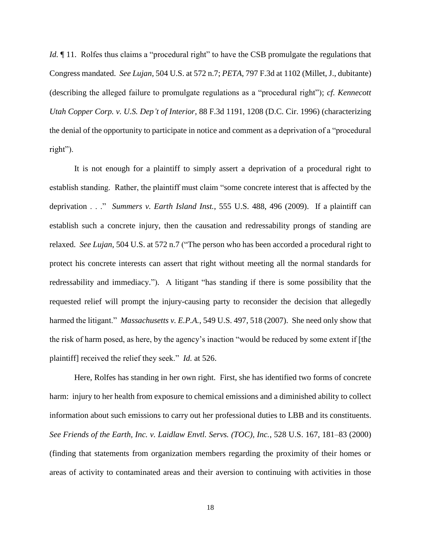*Id.*  $\parallel$  11. Rolfes thus claims a "procedural right" to have the CSB promulgate the regulations that Congress mandated. *See Lujan*, 504 U.S. at 572 n.7; *PETA*, 797 F.3d at 1102 (Millet, J., dubitante) (describing the alleged failure to promulgate regulations as a "procedural right"); *cf*. *Kennecott Utah Copper Corp. v. U.S. Dep't of Interior*, 88 F.3d 1191, 1208 (D.C. Cir. 1996) (characterizing the denial of the opportunity to participate in notice and comment as a deprivation of a "procedural right").

It is not enough for a plaintiff to simply assert a deprivation of a procedural right to establish standing. Rather, the plaintiff must claim "some concrete interest that is affected by the deprivation . . ." *Summers v. Earth Island Inst.*, 555 U.S. 488, 496 (2009). If a plaintiff can establish such a concrete injury, then the causation and redressability prongs of standing are relaxed. *See Lujan*, 504 U.S. at 572 n.7 ("The person who has been accorded a procedural right to protect his concrete interests can assert that right without meeting all the normal standards for redressability and immediacy."). A litigant "has standing if there is some possibility that the requested relief will prompt the injury-causing party to reconsider the decision that allegedly harmed the litigant." *Massachusetts v. E.P.A.*, 549 U.S. 497, 518 (2007). She need only show that the risk of harm posed, as here, by the agency's inaction "would be reduced by some extent if [the plaintiff] received the relief they seek." *Id.* at 526.

Here, Rolfes has standing in her own right. First, she has identified two forms of concrete harm: injury to her health from exposure to chemical emissions and a diminished ability to collect information about such emissions to carry out her professional duties to LBB and its constituents. *See Friends of the Earth, Inc. v. Laidlaw Envtl. Servs. (TOC), Inc.*, 528 U.S. 167, 181–83 (2000) (finding that statements from organization members regarding the proximity of their homes or areas of activity to contaminated areas and their aversion to continuing with activities in those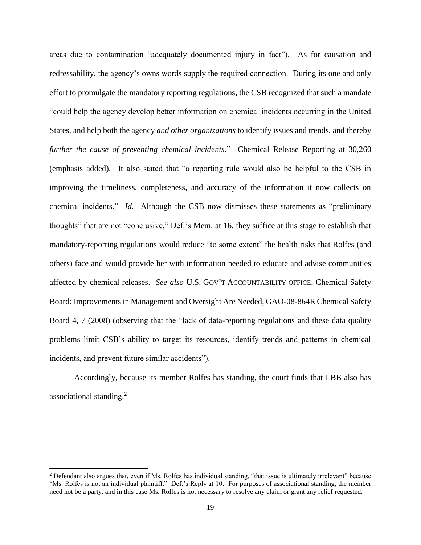areas due to contamination "adequately documented injury in fact"). As for causation and redressability, the agency's owns words supply the required connection. During its one and only effort to promulgate the mandatory reporting regulations, the CSB recognized that such a mandate "could help the agency develop better information on chemical incidents occurring in the United States, and help both the agency *and other organizations* to identify issues and trends, and thereby *further the cause of preventing chemical incidents*." Chemical Release Reporting at 30,260 (emphasis added). It also stated that "a reporting rule would also be helpful to the CSB in improving the timeliness, completeness, and accuracy of the information it now collects on chemical incidents." *Id.* Although the CSB now dismisses these statements as "preliminary thoughts" that are not "conclusive," Def.'s Mem. at 16, they suffice at this stage to establish that mandatory-reporting regulations would reduce "to some extent" the health risks that Rolfes (and others) face and would provide her with information needed to educate and advise communities affected by chemical releases. *See also* U.S. GOV'T ACCOUNTABILITY OFFICE, Chemical Safety Board: Improvements in Management and Oversight Are Needed, GAO-08-864R Chemical Safety Board 4, 7 (2008) (observing that the "lack of data-reporting regulations and these data quality problems limit CSB's ability to target its resources, identify trends and patterns in chemical incidents, and prevent future similar accidents").

Accordingly, because its member Rolfes has standing, the court finds that LBB also has associational standing.<sup>2</sup>

 $\overline{\phantom{a}}$ 

<sup>2</sup> Defendant also argues that, even if Ms. Rolfes has individual standing, "that issue is ultimately irrelevant" because "Ms. Rolfes is not an individual plaintiff." Def.'s Reply at 10. For purposes of associational standing, the member need not be a party, and in this case Ms. Rolfes is not necessary to resolve any claim or grant any relief requested.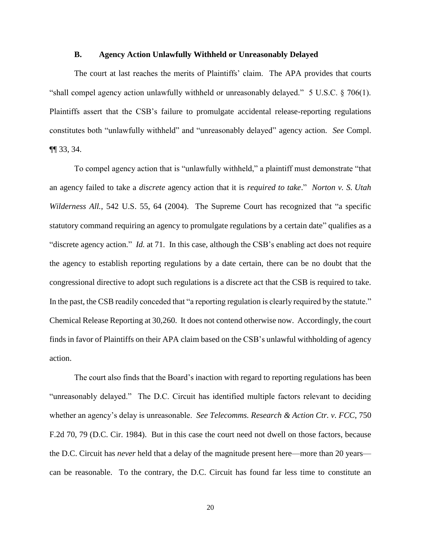#### **B. Agency Action Unlawfully Withheld or Unreasonably Delayed**

The court at last reaches the merits of Plaintiffs' claim. The APA provides that courts "shall compel agency action unlawfully withheld or unreasonably delayed."  $5 \text{ U.S.C.}$   $\S$  706(1). Plaintiffs assert that the CSB's failure to promulgate accidental release-reporting regulations constitutes both "unlawfully withheld" and "unreasonably delayed" agency action. *See* Compl. ¶¶ 33, 34.

To compel agency action that is "unlawfully withheld," a plaintiff must demonstrate "that an agency failed to take a *discrete* agency action that it is *required to take*." *Norton v. S. Utah Wilderness All.*, 542 U.S. 55, 64 (2004). The Supreme Court has recognized that "a specific statutory command requiring an agency to promulgate regulations by a certain date" qualifies as a "discrete agency action." *Id.* at 71. In this case, although the CSB's enabling act does not require the agency to establish reporting regulations by a date certain, there can be no doubt that the congressional directive to adopt such regulations is a discrete act that the CSB is required to take. In the past, the CSB readily conceded that "a reporting regulation is clearly required by the statute." Chemical Release Reporting at 30,260. It does not contend otherwise now. Accordingly, the court finds in favor of Plaintiffs on their APA claim based on the CSB's unlawful withholding of agency action.

The court also finds that the Board's inaction with regard to reporting regulations has been "unreasonably delayed." The D.C. Circuit has identified multiple factors relevant to deciding whether an agency's delay is unreasonable. *See Telecomms. Research & Action Ctr. v. FCC*, 750 F.2d 70, 79 (D.C. Cir. 1984). But in this case the court need not dwell on those factors, because the D.C. Circuit has *never* held that a delay of the magnitude present here—more than 20 years can be reasonable. To the contrary, the D.C. Circuit has found far less time to constitute an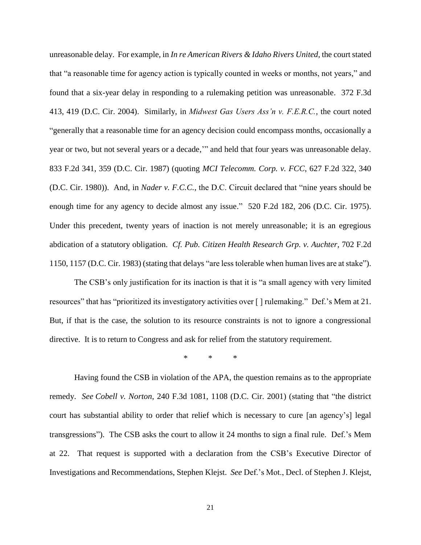unreasonable delay. For example, in *In re American Rivers & Idaho Rivers United*, the court stated that "a reasonable time for agency action is typically counted in weeks or months, not years," and found that a six-year delay in responding to a rulemaking petition was unreasonable. 372 F.3d 413, 419 (D.C. Cir. 2004). Similarly, in *Midwest Gas Users Ass'n v. F.E.R.C.*, the court noted "generally that a reasonable time for an agency decision could encompass months, occasionally a year or two, but not several years or a decade,'" and held that four years was unreasonable delay. 833 F.2d 341, 359 (D.C. Cir. 1987) (quoting *MCI Telecomm. Corp. v. FCC*, 627 F.2d 322, 340 (D.C. Cir. 1980)). And, in *Nader v. F.C.C.*, the D.C. Circuit declared that "nine years should be enough time for any agency to decide almost any issue." 520 F.2d 182, 206 (D.C. Cir. 1975). Under this precedent, twenty years of inaction is not merely unreasonable; it is an egregious abdication of a statutory obligation. *Cf. Pub. Citizen Health Research Grp. v. Auchter*, 702 F.2d 1150, 1157 (D.C. Cir. 1983) (stating that delays "are less tolerable when human lives are at stake").

The CSB's only justification for its inaction is that it is "a small agency with very limited resources" that has "prioritized its investigatory activities over [ ] rulemaking." Def.'s Mem at 21. But, if that is the case, the solution to its resource constraints is not to ignore a congressional directive. It is to return to Congress and ask for relief from the statutory requirement.

\* \* \*

Having found the CSB in violation of the APA, the question remains as to the appropriate remedy. *See Cobell v. Norton*, 240 F.3d 1081, 1108 (D.C. Cir. 2001) (stating that "the district court has substantial ability to order that relief which is necessary to cure [an agency's] legal transgressions"). The CSB asks the court to allow it 24 months to sign a final rule. Def.'s Mem at 22. That request is supported with a declaration from the CSB's Executive Director of Investigations and Recommendations, Stephen Klejst. *See* Def.'s Mot., Decl. of Stephen J. Klejst,